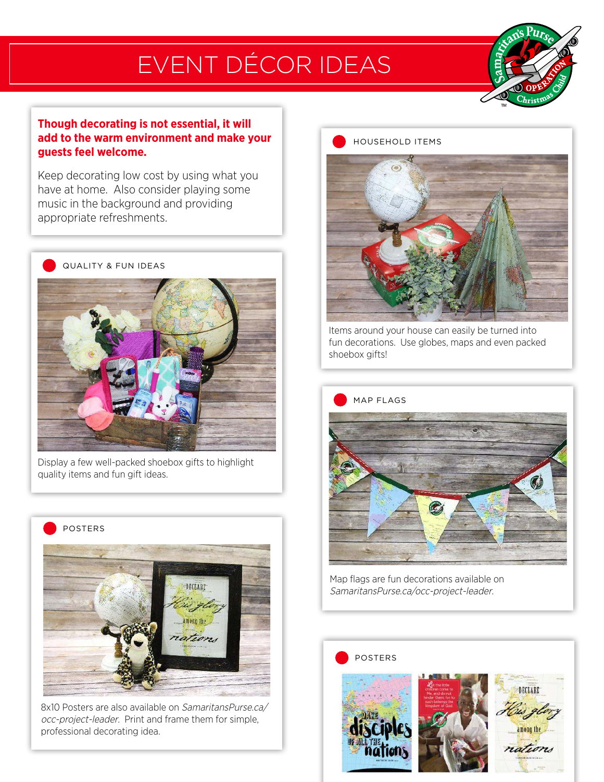## EVENT DÉCOR IDEAS



### **Though decorating is not essential, it will add to the warm environment and make your guests feel welcome.**

Keep decorating low cost by using what you have at home. Also consider playing some music in the background and providing appropriate refreshments.



Display a few well-packed shoebox gifts to highlight quality items and fun gift ideas.



8x10 Posters are also available on SamaritansPurse.ca/ occ-project-leader. Print and frame them for simple, professional decorating idea.

#### HOUSEHOLD ITEMS



Items around your house can easily be turned into fun decorations. Use globes, maps and even packed shoebox gifts!



Map flags are fun decorations available on SamaritansPurse.ca/occ-project-leader.